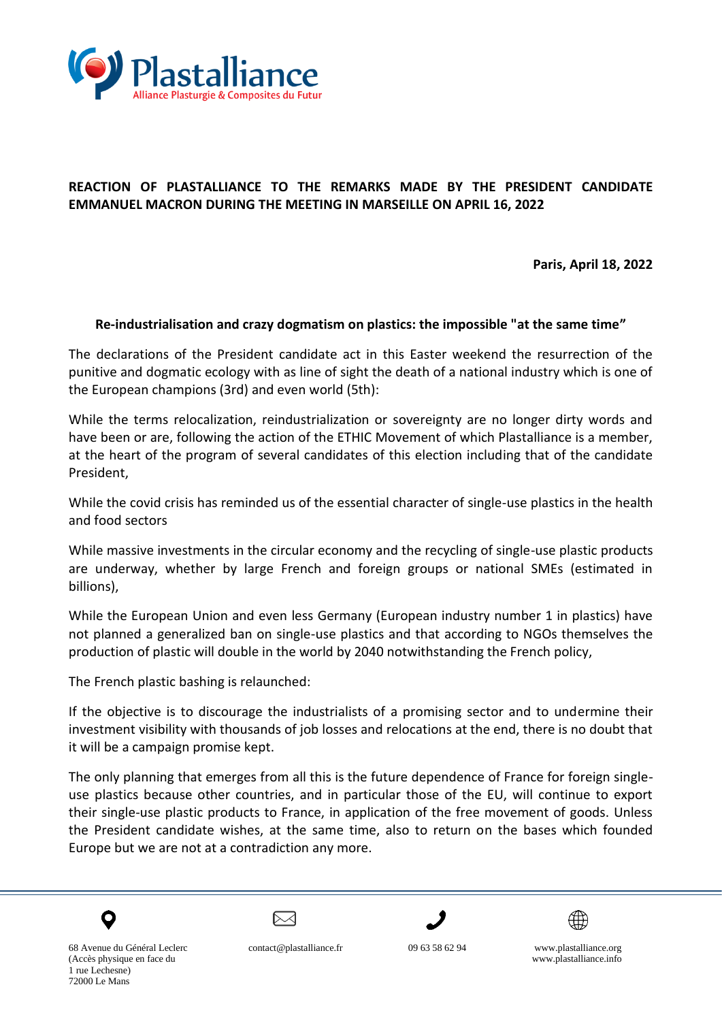

## **REACTION OF PLASTALLIANCE TO THE REMARKS MADE BY THE PRESIDENT CANDIDATE EMMANUEL MACRON DURING THE MEETING IN MARSEILLE ON APRIL 16, 2022**

**Paris, April 18, 2022**

## **Re-industrialisation and crazy dogmatism on plastics: the impossible "at the same time"**

The declarations of the President candidate act in this Easter weekend the resurrection of the punitive and dogmatic ecology with as line of sight the death of a national industry which is one of the European champions (3rd) and even world (5th):

While the terms relocalization, reindustrialization or sovereignty are no longer dirty words and have been or are, following the action of the ETHIC Movement of which Plastalliance is a member, at the heart of the program of several candidates of this election including that of the candidate President,

While the covid crisis has reminded us of the essential character of single-use plastics in the health and food sectors

While massive investments in the circular economy and the recycling of single-use plastic products are underway, whether by large French and foreign groups or national SMEs (estimated in billions),

While the European Union and even less Germany (European industry number 1 in plastics) have not planned a generalized ban on single-use plastics and that according to NGOs themselves the production of plastic will double in the world by 2040 notwithstanding the French policy,

The French plastic bashing is relaunched:

If the objective is to discourage the industrialists of a promising sector and to undermine their investment visibility with thousands of job losses and relocations at the end, there is no doubt that it will be a campaign promise kept.

The only planning that emerges from all this is the future dependence of France for foreign singleuse plastics because other countries, and in particular those of the EU, will continue to export their single-use plastic products to France, in application of the free movement of goods. Unless the President candidate wishes, at the same time, also to return on the bases which founded Europe but we are not at a contradiction any more.



 $\bowtie$ 





68 Avenue du Général Leclerc contact@plastalliance.fr09 63 58 62 94 www.plastalliance.org (Accès physique en face du www.plastalliance.info 1 rue Lechesne) 72000 Le Mans